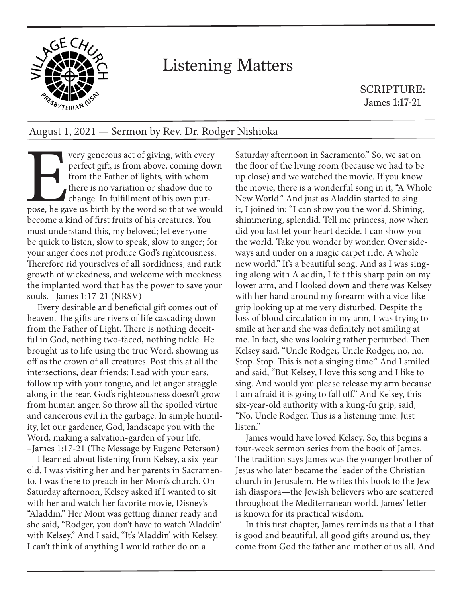

## Listening Matters

SCRIPTURE: James 1:17-21

## August 1, 2021 — Sermon by Rev. Dr. Rodger Nishioka

pose, he ga very generous act of giving, with every perfect gift, is from above, coming down from the Father of lights, with whom there is no variation or shadow due to change. In fulfillment of his own purpose, he gave us birth by the word so that we would become a kind of first fruits of his creatures. You must understand this, my beloved; let everyone be quick to listen, slow to speak, slow to anger; for your anger does not produce God's righteousness. Therefore rid yourselves of all sordidness, and rank growth of wickedness, and welcome with meekness the implanted word that has the power to save your souls. –James 1:17-21 (NRSV)

Every desirable and beneficial gift comes out of heaven. The gifts are rivers of life cascading down from the Father of Light. There is nothing deceitful in God, nothing two-faced, nothing fickle. He brought us to life using the true Word, showing us off as the crown of all creatures. Post this at all the intersections, dear friends: Lead with your ears, follow up with your tongue, and let anger straggle along in the rear. God's righteousness doesn't grow from human anger. So throw all the spoiled virtue and cancerous evil in the garbage. In simple humility, let our gardener, God, landscape you with the Word, making a salvation-garden of your life. –James 1:17-21 (The Message by Eugene Peterson)

I learned about listening from Kelsey, a six-yearold. I was visiting her and her parents in Sacramento. I was there to preach in her Mom's church. On Saturday afternoon, Kelsey asked if I wanted to sit with her and watch her favorite movie, Disney's "Aladdin." Her Mom was getting dinner ready and she said, "Rodger, you don't have to watch 'Aladdin' with Kelsey." And I said, "It's 'Aladdin' with Kelsey. I can't think of anything I would rather do on a

Saturday afternoon in Sacramento." So, we sat on the floor of the living room (because we had to be up close) and we watched the movie. If you know the movie, there is a wonderful song in it, "A Whole New World." And just as Aladdin started to sing it, I joined in: "I can show you the world. Shining, shimmering, splendid. Tell me princess, now when did you last let your heart decide. I can show you the world. Take you wonder by wonder. Over sideways and under on a magic carpet ride. A whole new world." It's a beautiful song. And as I was singing along with Aladdin, I felt this sharp pain on my lower arm, and I looked down and there was Kelsey with her hand around my forearm with a vice-like grip looking up at me very disturbed. Despite the loss of blood circulation in my arm, I was trying to smile at her and she was definitely not smiling at me. In fact, she was looking rather perturbed. Then Kelsey said, "Uncle Rodger, Uncle Rodger, no, no. Stop. Stop. This is not a singing time." And I smiled and said, "But Kelsey, I love this song and I like to sing. And would you please release my arm because I am afraid it is going to fall off." And Kelsey, this six-year-old authority with a kung-fu grip, said, "No, Uncle Rodger. This is a listening time. Just listen."

James would have loved Kelsey. So, this begins a four-week sermon series from the book of James. The tradition says James was the younger brother of Jesus who later became the leader of the Christian church in Jerusalem. He writes this book to the Jewish diaspora—the Jewish believers who are scattered throughout the Mediterranean world. James' letter is known for its practical wisdom.

In this first chapter, James reminds us that all that is good and beautiful, all good gifts around us, they come from God the father and mother of us all. And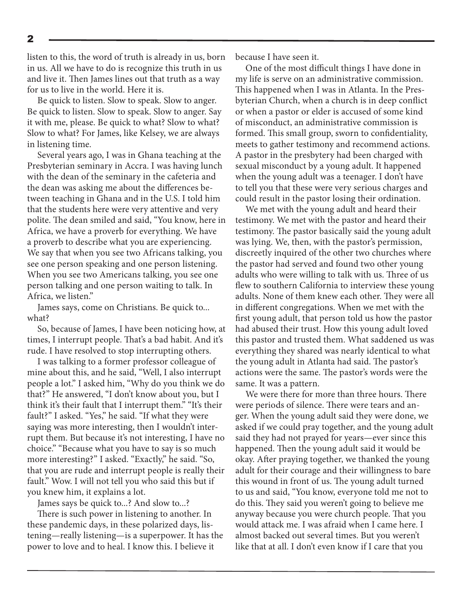listen to this, the word of truth is already in us, born in us. All we have to do is recognize this truth in us and live it. Then James lines out that truth as a way for us to live in the world. Here it is.

Be quick to listen. Slow to speak. Slow to anger. Be quick to listen. Slow to speak. Slow to anger. Say it with me, please. Be quick to what? Slow to what? Slow to what? For James, like Kelsey, we are always in listening time.

Several years ago, I was in Ghana teaching at the Presbyterian seminary in Accra. I was having lunch with the dean of the seminary in the cafeteria and the dean was asking me about the differences between teaching in Ghana and in the U.S. I told him that the students here were very attentive and very polite. The dean smiled and said, "You know, here in Africa, we have a proverb for everything. We have a proverb to describe what you are experiencing. We say that when you see two Africans talking, you see one person speaking and one person listening. When you see two Americans talking, you see one person talking and one person waiting to talk. In Africa, we listen."

James says, come on Christians. Be quick to... what?

So, because of James, I have been noticing how, at times, I interrupt people. That's a bad habit. And it's rude. I have resolved to stop interrupting others.

I was talking to a former professor colleague of mine about this, and he said, "Well, I also interrupt people a lot." I asked him, "Why do you think we do that?" He answered, "I don't know about you, but I think it's their fault that I interrupt them." "It's their fault?" I asked. "Yes," he said. "If what they were saying was more interesting, then I wouldn't interrupt them. But because it's not interesting, I have no choice." "Because what you have to say is so much more interesting?" I asked. "Exactly," he said. "So, that you are rude and interrupt people is really their fault." Wow. I will not tell you who said this but if you knew him, it explains a lot.

James says be quick to...? And slow to...?

There is such power in listening to another. In these pandemic days, in these polarized days, listening—really listening—is a superpower. It has the power to love and to heal. I know this. I believe it

because I have seen it.

One of the most difficult things I have done in my life is serve on an administrative commission. This happened when I was in Atlanta. In the Presbyterian Church, when a church is in deep conflict or when a pastor or elder is accused of some kind of misconduct, an administrative commission is formed. This small group, sworn to confidentiality, meets to gather testimony and recommend actions. A pastor in the presbytery had been charged with sexual misconduct by a young adult. It happened when the young adult was a teenager. I don't have to tell you that these were very serious charges and could result in the pastor losing their ordination.

We met with the young adult and heard their testimony. We met with the pastor and heard their testimony. The pastor basically said the young adult was lying. We, then, with the pastor's permission, discreetly inquired of the other two churches where the pastor had served and found two other young adults who were willing to talk with us. Three of us flew to southern California to interview these young adults. None of them knew each other. They were all in different congregations. When we met with the first young adult, that person told us how the pastor had abused their trust. How this young adult loved this pastor and trusted them. What saddened us was everything they shared was nearly identical to what the young adult in Atlanta had said. The pastor's actions were the same. The pastor's words were the same. It was a pattern.

We were there for more than three hours. There were periods of silence. There were tears and anger. When the young adult said they were done, we asked if we could pray together, and the young adult said they had not prayed for years—ever since this happened. Then the young adult said it would be okay. After praying together, we thanked the young adult for their courage and their willingness to bare this wound in front of us. The young adult turned to us and said, "You know, everyone told me not to do this. They said you weren't going to believe me anyway because you were church people. That you would attack me. I was afraid when I came here. I almost backed out several times. But you weren't like that at all. I don't even know if I care that you